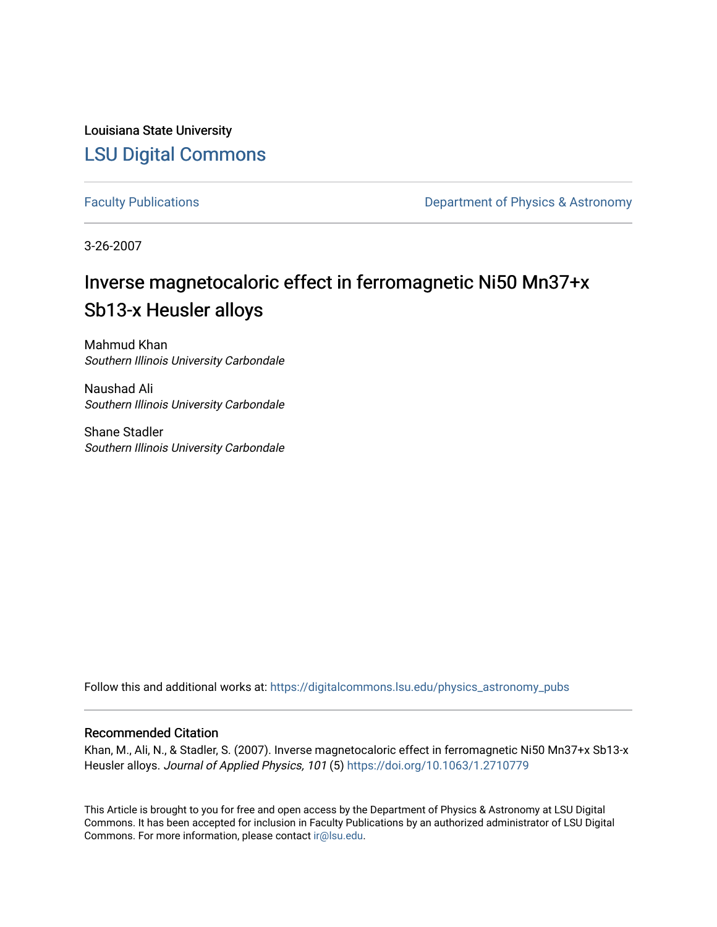Louisiana State University [LSU Digital Commons](https://digitalcommons.lsu.edu/)

[Faculty Publications](https://digitalcommons.lsu.edu/physics_astronomy_pubs) **Exercise 2 and Table 2 and Table 2 and Table 2 and Table 2 and Table 2 and Table 2 and Table 2 and Table 2 and Table 2 and Table 2 and Table 2 and Table 2 and Table 2 and Table 2 and Table 2 and Table** 

3-26-2007

# Inverse magnetocaloric effect in ferromagnetic Ni50 Mn37+x Sb13-x Heusler alloys

Mahmud Khan Southern Illinois University Carbondale

Naushad Ali Southern Illinois University Carbondale

Shane Stadler Southern Illinois University Carbondale

Follow this and additional works at: [https://digitalcommons.lsu.edu/physics\\_astronomy\\_pubs](https://digitalcommons.lsu.edu/physics_astronomy_pubs?utm_source=digitalcommons.lsu.edu%2Fphysics_astronomy_pubs%2F5328&utm_medium=PDF&utm_campaign=PDFCoverPages) 

# Recommended Citation

Khan, M., Ali, N., & Stadler, S. (2007). Inverse magnetocaloric effect in ferromagnetic Ni50 Mn37+x Sb13-x Heusler alloys. Journal of Applied Physics, 101 (5) <https://doi.org/10.1063/1.2710779>

This Article is brought to you for free and open access by the Department of Physics & Astronomy at LSU Digital Commons. It has been accepted for inclusion in Faculty Publications by an authorized administrator of LSU Digital Commons. For more information, please contact [ir@lsu.edu](mailto:ir@lsu.edu).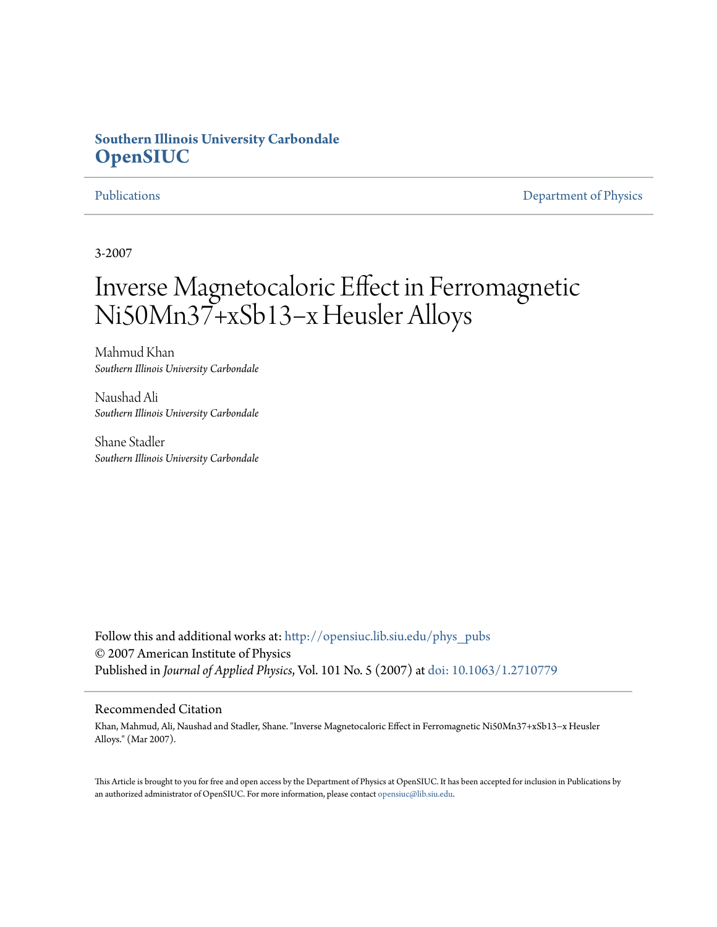# **Southern Illinois University Carbondale [OpenSIUC](http://opensiuc.lib.siu.edu?utm_source=opensiuc.lib.siu.edu%2Fphys_pubs%2F25&utm_medium=PDF&utm_campaign=PDFCoverPages)**

[Publications](http://opensiuc.lib.siu.edu/phys_pubs?utm_source=opensiuc.lib.siu.edu%2Fphys_pubs%2F25&utm_medium=PDF&utm_campaign=PDFCoverPages) [Department of Physics](http://opensiuc.lib.siu.edu/phys?utm_source=opensiuc.lib.siu.edu%2Fphys_pubs%2F25&utm_medium=PDF&utm_campaign=PDFCoverPages)

3-2007

# Inverse Magnetocaloric Effect in Ferromagnetic Ni50Mn37+xSb13−x Heusler Alloys

Mahmud Khan *Southern Illinois University Carbondale*

Naushad Ali *Southern Illinois University Carbondale*

Shane Stadler *Southern Illinois University Carbondale*

Follow this and additional works at: [http://opensiuc.lib.siu.edu/phys\\_pubs](http://opensiuc.lib.siu.edu/phys_pubs?utm_source=opensiuc.lib.siu.edu%2Fphys_pubs%2F25&utm_medium=PDF&utm_campaign=PDFCoverPages) © 2007 American Institute of Physics Published in *Journal of Applied Physics*, Vol. 101 No. 5 (2007) at [doi: 10.1063/1.2710779](http://dx.doi.org/10.1063/1.2710779)

# Recommended Citation

Khan, Mahmud, Ali, Naushad and Stadler, Shane. "Inverse Magnetocaloric Effect in Ferromagnetic Ni50Mn37+xSb13−x Heusler Alloys." (Mar 2007).

This Article is brought to you for free and open access by the Department of Physics at OpenSIUC. It has been accepted for inclusion in Publications by an authorized administrator of OpenSIUC. For more information, please contact [opensiuc@lib.siu.edu.](mailto:opensiuc@lib.siu.edu)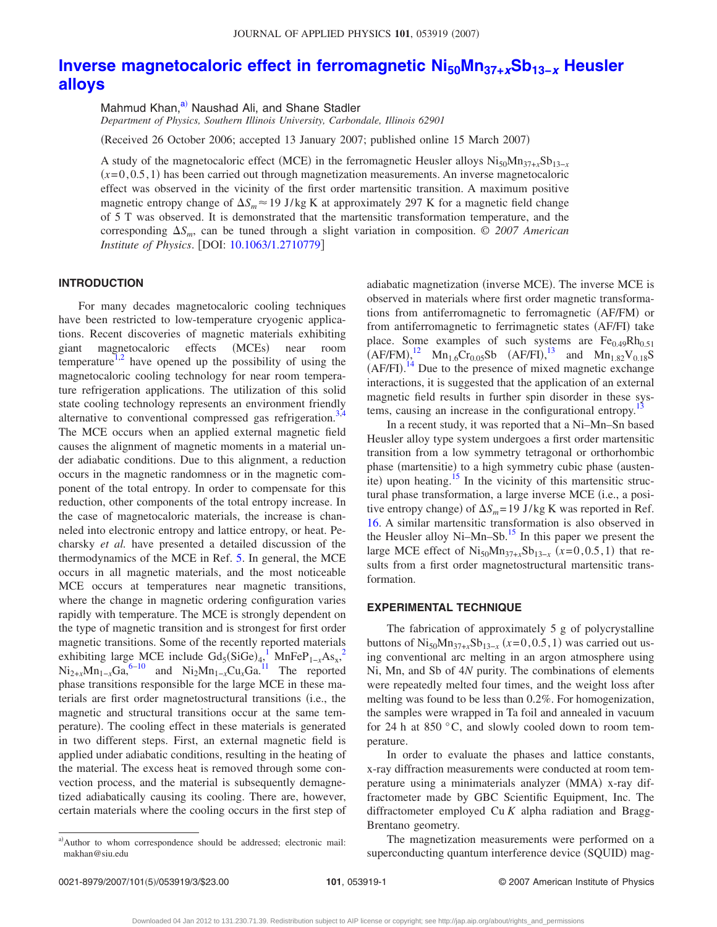# **[Inverse magnetocaloric effect in ferromagnetic Ni50Mn37+](http://dx.doi.org/10.1063/1.2710779)***x***Sb13−***<sup>x</sup>* **Heusler [alloys](http://dx.doi.org/10.1063/1.2710779)**

Mahmud Khan,<sup>a)</sup> Naushad Ali, and Shane Stadler

*Department of Physics, Southern Illinois University, Carbondale, Illinois 62901*

(Received 26 October 2006; accepted 13 January 2007; published online 15 March 2007)

A study of the magnetocaloric effect (MCE) in the ferromagnetic Heusler alloys  $Ni_{50}Mn_{37+x}Sb_{13-x}$  $(x=0,0.5,1)$  has been carried out through magnetization measurements. An inverse magnetocaloric effect was observed in the vicinity of the first order martensitic transition. A maximum positive magnetic entropy change of  $\Delta S_m \approx 19$  J/kg K at approximately 297 K for a magnetic field change of 5 T was observed. It is demonstrated that the martensitic transformation temperature, and the corresponding *Sm*, can be tuned through a slight variation in composition. © *2007 American Institute of Physics*. DOI: [10.1063/1.2710779](http://dx.doi.org/10.1063/1.2710779)

## **INTRODUCTION**

For many decades magnetocaloric cooling techniques have been restricted to low-temperature cryogenic applications. Recent discoveries of magnetic materials exhibiting giant magnetocaloric effects (MCEs) near room temperature<sup>1[,2](#page-4-1)</sup> have opened up the possibility of using the magnetocaloric cooling technology for near room temperature refrigeration applications. The utilization of this solid state cooling technology represents an environment friendly alternative to conventional compressed gas refrigeration.<sup>3</sup> The MCE occurs when an applied external magnetic field causes the alignment of magnetic moments in a material under adiabatic conditions. Due to this alignment, a reduction occurs in the magnetic randomness or in the magnetic component of the total entropy. In order to compensate for this reduction, other components of the total entropy increase. In the case of magnetocaloric materials, the increase is channeled into electronic entropy and lattice entropy, or heat. Pecharsky *et al.* have presented a detailed discussion of the thermodynamics of the MCE in Ref. [5.](#page-4-4) In general, the MCE occurs in all magnetic materials, and the most noticeable MCE occurs at temperatures near magnetic transitions, where the change in magnetic ordering configuration varies rapidly with temperature. The MCE is strongly dependent on the type of magnetic transition and is strongest for first order magnetic transitions. Some of the recently reported materials exhibiting large MCE include  $Gd_5(SiGe)_{4,1}^{-1}$  $Gd_5(SiGe)_{4,1}^{-1}$  $Gd_5(SiGe)_{4,1}^{-1}$  MnFeP<sub>1-*x*</sub>As<sub>x</sub>,<sup>[2](#page-4-1)</sup>  $Ni_{2+x}Mn_{1-x}Ga$ <sup>6[–10](#page-4-6)</sup> and  $Ni_{2}Mn_{1-x}Cu_{x}Ga$ <sup>11</sup> The reported phase transitions responsible for the large MCE in these materials are first order magnetostructural transitions (i.e., the magnetic and structural transitions occur at the same temperature). The cooling effect in these materials is generated in two different steps. First, an external magnetic field is applied under adiabatic conditions, resulting in the heating of the material. The excess heat is removed through some convection process, and the material is subsequently demagnetized adiabatically causing its cooling. There are, however, certain materials where the cooling occurs in the first step of

adiabatic magnetization (inverse MCE). The inverse MCE is observed in materials where first order magnetic transformations from antiferromagnetic to ferromagnetic (AF/FM) or from antiferromagnetic to ferrimagnetic states (AF/FI) take place. Some examples of such systems are  $Fe<sub>0.49</sub>Rh<sub>0.51</sub>$  $(AF/FM)$ ,<sup>[12](#page-4-8)</sup> Mn<sub>1.6</sub>Cr<sub>0.05</sub>Sb  $(AF/FI)$ ,<sup>[13](#page-4-9)</sup> and Mn<sub>1.82</sub>V<sub>0.18</sub>S  $(AF/FI).$ <sup>[14](#page-4-10)</sup> Due to the presence of mixed magnetic exchange interactions, it is suggested that the application of an external magnetic field results in further spin disorder in these systems, causing an increase in the configurational entropy.<sup>13</sup>

In a recent study, it was reported that a Ni–Mn–Sn based Heusler alloy type system undergoes a first order martensitic transition from a low symmetry tetragonal or orthorhombic phase (martensitie) to a high symmetry cubic phase (austenite) upon heating.<sup>15</sup> In the vicinity of this martensitic structural phase transformation, a large inverse MCE (i.e., a positive entropy change) of  $\Delta S_m = 19$  J/kg K was reported in Ref. [16.](#page-4-12) A similar martensitic transformation is also observed in the Heusler alloy Ni–Mn–Sb.<sup>15</sup> In this paper we present the large MCE effect of  $Ni_{50}Mn_{37+x}Sb_{13-x}$  ( $x=0,0.5,1$ ) that results from a first order magnetostructural martensitic transformation.

## **EXPERIMENTAL TECHNIQUE**

The fabrication of approximately 5 g of polycrystalline buttons of  $\text{Ni}_{50}\text{Mn}_{37+x}\text{Sb}_{13-x}$   $(x=0,0.5,1)$  was carried out using conventional arc melting in an argon atmosphere using Ni, Mn, and Sb of 4*N* purity. The combinations of elements were repeatedly melted four times, and the weight loss after melting was found to be less than 0.2%. For homogenization, the samples were wrapped in Ta foil and annealed in vacuum for 24 h at 850 °C, and slowly cooled down to room temperature.

In order to evaluate the phases and lattice constants, x-ray diffraction measurements were conducted at room temperature using a minimaterials analyzer (MMA) x-ray diffractometer made by GBC Scientific Equipment, Inc. The diffractometer employed Cu *K* alpha radiation and Bragg-Brentano geometry.

The magnetization measurements were performed on a superconducting quantum interference device (SQUID) mag-

<span id="page-2-0"></span>a)Author to whom correspondence should be addressed; electronic mail: makhan@siu.edu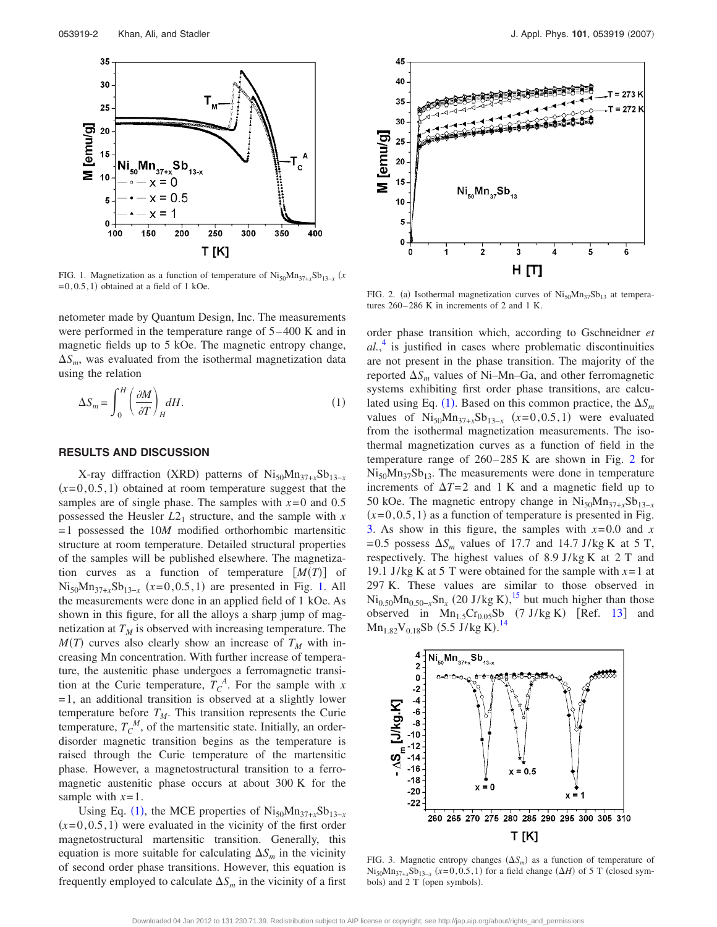<span id="page-3-0"></span>

FIG. 1. Magnetization as a function of temperature of  $Ni_{50}Mn_{37+x}Sb_{13-x}$  (*x*  $=0, 0.5, 1$ ) obtained at a field of 1 kOe.

netometer made by Quantum Design, Inc. The measurements were performed in the temperature range of 5–400 K and in magnetic fields up to 5 kOe. The magnetic entropy change,  $\Delta S_m$ , was evaluated from the isothermal magnetization data using the relation

<span id="page-3-1"></span>
$$
\Delta S_m = \int_0^H \left(\frac{\partial M}{\partial T}\right)_H dH.
$$
\n(1)

#### **RESULTS AND DISCUSSION**

X-ray diffraction (XRD) patterns of Ni<sub>50</sub>Mn<sub>37+*x*</sub>Sb<sub>13−*x*</sub>  $(x=0, 0.5, 1)$  obtained at room temperature suggest that the samples are of single phase. The samples with  $x=0$  and 0.5 possessed the Heusler  $L2_1$  structure, and the sample with *x* =1 possessed the 10*M* modified orthorhombic martensitic structure at room temperature. Detailed structural properties of the samples will be published elsewhere. The magnetization curves as a function of temperature  $[M(T)]$  of  $Ni_{50}Mn_{37+x}Sb_{13-x}$  ( $x=0,0.5,1$ ) are presented in Fig. [1.](#page-3-0) All the measurements were done in an applied field of 1 kOe. As shown in this figure, for all the alloys a sharp jump of magnetization at  $T_M$  is observed with increasing temperature. The  $M(T)$  curves also clearly show an increase of  $T<sub>M</sub>$  with increasing Mn concentration. With further increase of temperature, the austenitic phase undergoes a ferromagnetic transition at the Curie temperature,  $T_c^A$ . For the sample with *x*  $=1$ , an additional transition is observed at a slightly lower temperature before  $T_M$ . This transition represents the Curie temperature,  $T_c^M$ , of the martensitic state. Initially, an orderdisorder magnetic transition begins as the temperature is raised through the Curie temperature of the martensitic phase. However, a magnetostructural transition to a ferromagnetic austenitic phase occurs at about 300 K for the sample with  $x=1$ .

Using Eq. ([1](#page-3-1)), the MCE properties of  $Ni_{50}Mn_{37+x}Sb_{13-x}$  $(x=0, 0.5, 1)$  were evaluated in the vicinity of the first order magnetostructural martensitic transition. Generally, this equation is more suitable for calculating  $\Delta S_m$  in the vicinity of second order phase transitions. However, this equation is frequently employed to calculate  $\Delta S_m$  in the vicinity of a first

<span id="page-3-2"></span>

FIG. 2. (a) Isothermal magnetization curves of  $\text{Ni}_{50}\text{Mn}_{37}\text{Sb}_{13}$  at temperatures 260–286 K in increments of 2 and 1 K.

order phase transition which, according to Gschneidner *et al.*, [4](#page-4-3) is justified in cases where problematic discontinuities are not present in the phase transition. The majority of the reported  $\Delta S_m$  values of Ni–Mn–Ga, and other ferromagnetic systems exhibiting first order phase transitions, are calcu-lated using Eq. ([1](#page-3-1)). Based on this common practice, the  $\Delta S_m$ values of  $Ni_{50}Mn_{37+x}Sb_{13-x}$   $(x=0,0.5,1)$  were evaluated from the isothermal magnetization measurements. The isothermal magnetization curves as a function of field in the temperature range of 260–285 K are shown in Fig. [2](#page-3-2) for  $Ni_{50}Mn_{37}Sb_{13}$ . The measurements were done in temperature increments of  $\Delta T=2$  and 1 K and a magnetic field up to 50 kOe. The magnetic entropy change in  $Ni_{50}Mn_{37+x}Sb_{13-x}$  $(x=0, 0.5, 1)$  as a function of temperature is presented in Fig. [3.](#page-3-3) As show in this figure, the samples with  $x=0.0$  and  $x=0.0$ =0.5 possess  $\Delta S_m$  values of 17.7 and 14.7 J/kg K at 5 T, respectively. The highest values of 8.9 J/kg K at 2 T and 19.1 J/kg K at 5 T were obtained for the sample with *x*=1 at 297 K. These values are similar to those observed in  $\text{Ni}_{0.50} \text{Mn}_{0.50-x} \text{Sn}_x$  (20 J/kg K),<sup>[15](#page-4-11)</sup> but much higher than those observed in  $Mn_{1.5}Cr_{0.05}Sb$  (7 J/kg K) [Ref. [13](#page-4-9)] and  $Mn_{1.82}V_{0.18}Sb$  (5.5 J/kg K).<sup>[14](#page-4-10)</sup>

<span id="page-3-3"></span>

FIG. 3. Magnetic entropy changes  $(\Delta S_m)$  as a function of temperature of  $Ni_{50}Mn_{37+x}Sb_{13-x}$  ( $x=0,0.5,1$ ) for a field change ( $\Delta H$ ) of 5 T (closed symbols) and 2 T (open symbols).